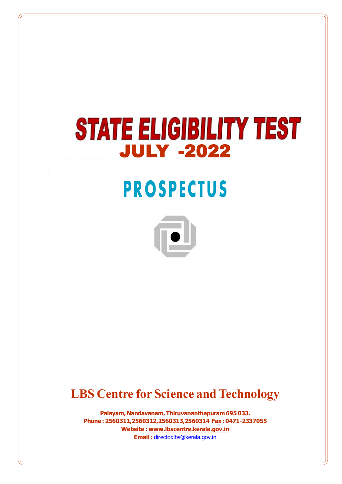# **STATE ELIGIBILITY TEST JULY -2022**

# **PROSPECTUS**



# **LBS Centre for Science and Technology**

**Palayam, Nandavanam, Thiruvananthapuram 695 033. Phone : 2560311,2560312,2560313,2560314 Fax : 0471-2337055 Website : www.lbscentre.kerala.gov.in Email :** director.lbs@kerala.gov.in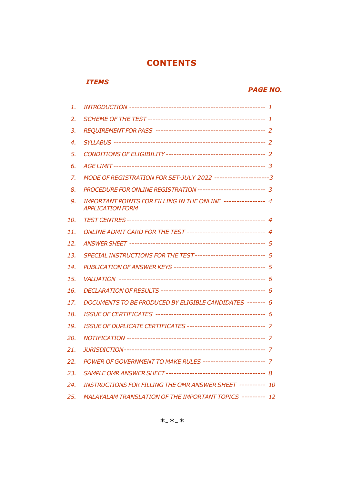## **CONTENTS**

## *ITEMS*

## *PAGE NO.*

| 1.  |                                                                                         |  |
|-----|-----------------------------------------------------------------------------------------|--|
| 2.  |                                                                                         |  |
| 3.  |                                                                                         |  |
| 4.  |                                                                                         |  |
| 5.  |                                                                                         |  |
| 6.  |                                                                                         |  |
| 7.  | MODE OF REGISTRATION FOR SET-JULY 2022 ---------------------3                           |  |
| 8.  | PROCEDURE FOR ONLINE REGISTRATION ------------------------- 3                           |  |
| 9.  | IMPORTANT POINTS FOR FILLING IN THE ONLINE --------------- 4<br><b>APPLICATION FORM</b> |  |
| 10. |                                                                                         |  |
| 11. | ONLINE ADMIT CARD FOR THE TEST ----------------------------- 4                          |  |
| 12. |                                                                                         |  |
| 13. | SPECIAL INSTRUCTIONS FOR THE TEST -------------------------- 5                          |  |
| 14. | PUBLICATION OF ANSWER KEYS ---------------------------------- 5                         |  |
| 15. |                                                                                         |  |
| 16. |                                                                                         |  |
| 17. | DOCUMENTS TO BE PRODUCED BY ELIGIBLE CANDIDATES ------- 6                               |  |
| 18. |                                                                                         |  |
| 19. | ISSUE OF DUPLICATE CERTIFICATES ------------------------------- 7                       |  |
| 20. |                                                                                         |  |
| 21. |                                                                                         |  |
| 22. | POWER OF GOVERNMENT TO MAKE RULES ----------------------- 7                             |  |
| 23. |                                                                                         |  |
| 24. | <b>INSTRUCTIONS FOR FILLING THE OMR ANSWER SHEET ---------- 10</b>                      |  |
| 25. | MALAYALAM TRANSLATION OF THE IMPORTANT TOPICS --------- 12                              |  |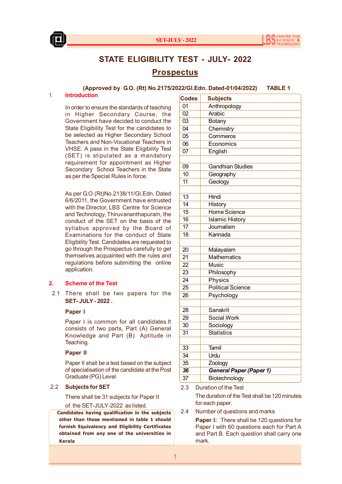



## **STATE ELIGIBILITY TEST - JULY- 2022 Prospectus**

**(Approved by G.O. (Rt) No.2175/2022/Gl.Edn. Dated-01/04/2022) TABLE 1**

#### 1. **Introduction**

In order to ensure the standards of teaching in Higher Secondary Course, the Government have decided to conduct the State Eligibility Test for the candidates to be selected as Higher Secondary School Teachers and Non-Vocational Teachers in VHSE. A pass in the State Eligibility Test (SET) is stipulated as a mandatory requirement for appointment as Higher Secondary School Teachers in the State as per the Special Rules in force.

As per G.O.(Rt)No.2138/11/Gl.Edn. Dated 6/6/2011, the Government have entrusted with the Director, LBS Centre for Science and Technology, Thiruvananthapuram, the conduct of the SET on the basis of the syllabus approved by the Board of Examinations for the conduct of State Eligibility Test. Candidates are requested to go through the Prospectus carefully to get themselves acquainted with the rules and regulations before submitting the online application.

#### **2. Scheme of the Test**

 2.1 There shall be two papers for the **SET- JULY - 2022 .**

#### **Paper I**

Paper I is common for all candidates.It consists of two parts, Part (A) General Knowledge and Part (B) Aptitude in Teaching.

#### **Paper II**

Paper II shall be a test based on the subject of specialisation of the candidate at the Post Graduate (PG) Level.

### 2.2 **Subjects for SET**

There shall be 31 subjects for Paper II

of the SET-JULY-2022 as listed.

 **Candidates having qualification in the subjects other than those mentioned in table 1 should furnish Equivalency and Eligibility Certificates obtained from any one of the universities in Kerala**

| <b>Codes</b>    | <b>Subjects</b>          |  |  |
|-----------------|--------------------------|--|--|
| 01              | Anthropology             |  |  |
| 02              | Arabic                   |  |  |
| 03              | Botany                   |  |  |
| 04              | Chemistry                |  |  |
| 05              | Commerce                 |  |  |
| 06              | Economics                |  |  |
| 07              | English                  |  |  |
|                 |                          |  |  |
| 09              | <b>Gandhian Studies</b>  |  |  |
| 10              | Geography                |  |  |
| 11              | Geology                  |  |  |
|                 |                          |  |  |
| 13              | Hindi                    |  |  |
| $\overline{14}$ | <b>History</b>           |  |  |
| 15              | Home Science             |  |  |
| 16              | <b>Islamic History</b>   |  |  |
| 17              | Journalism               |  |  |
| 18              | Kannada                  |  |  |
|                 |                          |  |  |
| 20              | Malayalam                |  |  |
| $\overline{21}$ | <b>Mathematics</b>       |  |  |
| $\overline{22}$ | <b>Music</b>             |  |  |
| 23              | Philosophy               |  |  |
| $\overline{24}$ | Physics                  |  |  |
| 25              | <b>Political Science</b> |  |  |
| 26              | Psychology               |  |  |
|                 |                          |  |  |
| 28              | Sanskrit                 |  |  |
| 29              | Social Work              |  |  |
| 30              | Sociology                |  |  |
| 31              | <b>Statistics</b>        |  |  |
|                 |                          |  |  |
| 33              | Tamil                    |  |  |
| 34              | Urdu                     |  |  |
| 35              | Zoology                  |  |  |
| 36              | General Paper (Paper 1)  |  |  |
| 37              | Biotechnology            |  |  |

2.3 Duration of the Test

The duration of the Test shall be 120 minutes for each paper.

2.4 Number of questions and marks

**Paper I:** There shall be 120 questions for Paper I with 60 questions each for Part A and Part B. Each question shall carry one mark.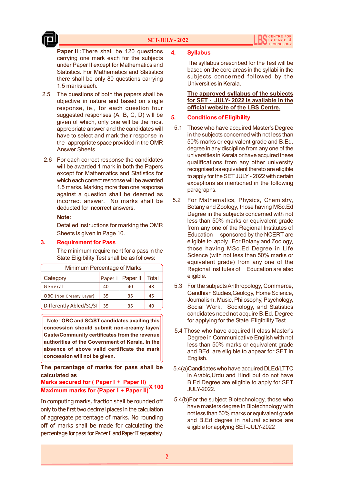#### **SET-JULY - 2022**



**Paper II : There shall be 120 questions** carrying one mark each for the subjects under Paper II except for Mathematics and Statistics. For Mathematics and Statistics there shall be only 80 questions carrying 1.5 marks each.

- 2.5 The questions of both the papers shall be objective in nature and based on single response, ie., for each question four suggested responses (A, B, C, D) will be given of which, only one will be the most appropriate answer and the candidates will have to select and mark their response in the appropriate space provided in the OMR Answer Sheets.
- 2.6 For each correct response the candidates will be awarded 1 mark in both the Papers except for Mathematics and Statistics for which each correct response will be awarded 1.5 marks. Marking more than one response against a question shall be deemed as incorrect answer. No marks shall be deducted for incorrect answers.

#### **Note:**

Detailed instructions for marking the OMR Sheets is given in Page 10.

#### **3. Requirement for Pass**

The minimum requirement for a pass in the State Eligibility Test shall be as follows:

| Minimum Percentage of Marks |    |                    |       |  |
|-----------------------------|----|--------------------|-------|--|
| Category                    |    | Paper I   Paper II | Total |  |
| General                     | 40 | 40                 | 48    |  |
| OBC (Non Creamy Layer)      | 35 | 35                 | 45    |  |
| Differently Abled/SC/ST     | 35 | 35                 | 40    |  |

Note : **OBC and SC/ST candidates availing this concession should submit non-creamy layer/ Caste/Community certificates from the revenue authorities of the Government of Kerala. In the absence of above valid certificate the mark concession will not be given.**

**The percentage of marks for pass shall be calculated as**

#### **Marks secured for ( Paper I + Paper II) Maximum marks for (Paper I + Paper II)X 100**

In computing marks, fraction shall be rounded off only to the first two decimal places in the calculation of aggregate percentage of marks. No rounding off of marks shall be made for calculating the percentage for pass for Paper I and Paper II separately.

#### **4. Syllabus**

The syllabus prescribed for the Test will be based on the core areas in the syllabi in the subjects concerned followed by the Universities in Kerala.

**The approved syllabus of the subjects for SET - JULY- 2022 is available in the official website of the LBS Centre.**

#### **5. Conditions of Eligibility**

- 5.1 Those who have acquired Master's Degree in the subjects concerned with not less than 50% marks or equivalent grade and B.Ed. degree in any discipline from any one of the universities in Kerala or have acquired these qualifications from any other university recognised as equivalent thereto are eligible to apply for the SET JULY - 2022 with certain exceptions as mentioned in the following paragraphs.
- 5.2 For Mathematics, Physics, Chemistry, Botany and Zoology, those having MSc.Ed Degree in the subjects concerned with not less than 50% marks or equivalent grade from any one of the Regional Institutes of Education sponsored by the NCERT are eligible to apply. For Botany and Zoology, those having MSc.Ed Degree in Life Science (with not less than 50% marks or equivalent grade) from any one of the Regional Institutes of Education are also eligible.
- 5.3 For the subjects Anthropology, Commerce, Gandhian Studies,Geology, Home Science, Journalism, Music, Philosophy, Psychology, Social Work, Sociology, and Statistics candidates need not acquire B.Ed. Degree for applying for the State Eligibility Test.
- 5.4 Those who have acquired II class Master's Degree in Communicative English with not less than 50% marks or equivalent grade and BEd. are eligible to appear for SET in English.
- 5.4(a)Candidates who have acquired DLEd/LTTC in Arabic,Urdu and Hindi but do not have B.Ed Degree are eligible to apply for SET JULY-2022.
- 5.4(b)For the subject Biotechnology, those who have masters degree in Biotechnology with not less than 50% marks or equivalent grade and B.Ed degree in natural science are eligible for applying SET-JULY-2022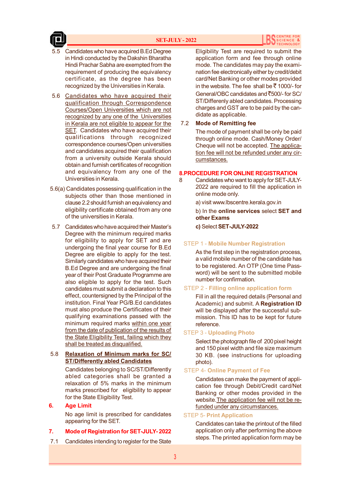#### **SET-JULY - 2022**





- 5.5 Candidates who have acquired B.Ed Degree in Hindi conducted by the Dakshin Bharatha Hindi Prachar Sabha are exempted from the requirement of producing the equivalency certificate, as the degree has been recognized by the Universities in Kerala.
- 5.6 Candidates who have acquired their qualification through Correspondence Courses/Open Universities which are not recognized by any one of the Universities in Kerala are not eligible to appear for the SET. Candidates who have acquired their qualifications through recognized correspondence courses/Open universities and candidates acquired their qualification from a university outside Kerala should obtain and furnish certificates of recognition and equivalency from any one of the Universities in Kerala.
- 5.6(a) Candidates possessing qualification in the subjects other than those mentioned in clause 2.2 should furnish an equivalency and eligibility certificate obtained from any one of the universities in Kerala.
- 5.7 Candidates who have acquired their Master's Degree with the minimum required marks for eligibility to apply for SET and are undergoing the final year course for B.Ed Degree are eligible to apply for the test. Similarly candidates who have acquired their B.Ed Degree and are undergoing the final year of their Post Graduate Programme are also eligible to apply for the test. Such candidates must submit a declaration to this effect, countersigned by the Principal of the institution. Final Year PG/B.Ed candidates must also produce the Certificates of their qualifying examinations passed with the minimum required marks within one year from the date of publication of the results of the State Eligibility Test, failing which they shall be treated as disqualified.

#### 5.8 **Relaxation of Minimum marks for SC/ ST/Differently abled Candidates**

Candidates belonging to SC/ST/Differently abled categories shall be granted a relaxation of 5% marks in the minimum marks prescribed for eligibility to appear for the State Eligibility Test.

#### **6. Age Limit**

No age limit is prescribed for candidates appearing for the SET.

#### **7. Mode of Registration for SET-JULY- 2022**

7.1 Candidates intending to register for the State

Eligibility Test are required to submit the application form and fee through online mode. The candidates may pay the examination fee electronically either by credit/debit card/Net Banking or other modes provided in the website. The fee shall be  $\bar{z}$  1000/- for General/OBC candidates and  $\overline{5}500/$ - for SC/ ST/Differenly abled candidates. Processing charges and GST are to be paid by the candidate as applicable.

#### 7.2 **Mode of Remitting fee**

The mode of payment shall be only be paid through online mode. Cash/Money Order/ Cheque will not be accepted. The application fee will not be refunded under any circumstances.

#### **8.PROCEDURE FOR ONLINE REGISTRATION**

- 8 Candidates who want to apply for SET-JULY-2022 are required to fill the application in online mode only.
	- a) visit www.lbscentre.kerala.gov.in

b) In the **online services** select **SET and other Exams**

**c)** Select **SET-JULY-2022**

#### STEP 1 - **Mobile Number Registration**

As the first step in the registration process, a valid mobile number of the candidate has to be registered. An OTP (One time Password) will be sent to the submitted mobile number for confirmation.

#### STEP 2 - **Filling online application form**

Fill in all the required details (Personal and Academic) and submit. A **Registration ID** will be displayed after the successful submission. This ID has to be kept for future reference.

#### STEP 3 - **Uploading Photo**

Select the photograph file of 200 pixel height and 150 pixel width and file size maximum 30 KB. (see instructions for uploading photo).

#### STEP 4- **Online Payment of Fee**

Candidates can make the payment of application fee through Debit/Credit card/Net Banking or other modes provided in the website.The application fee will not be refunded under any circumstances.

#### STEP 5- **Print Application**

Candidates can take the printout of the filled application only after performing the above steps. The printed application form may be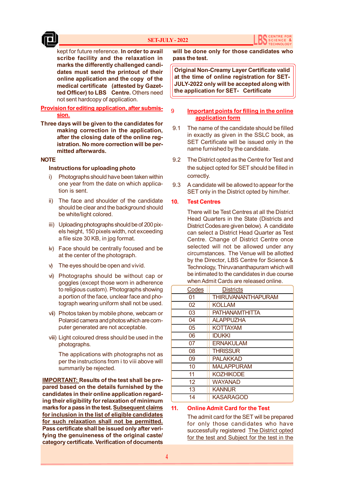

kept for future reference. **In order to avail scribe facility and the relaxation in marks the differently challenged candidates must send the printout of their online application and the copy of the medical certificate (attested by Gazetted Officer) to LBS Centre.** Others need not sent hardcopy of application.

#### **Provision for editing application, after submission.**

**Three days will be given to the candidates for making correction in the application, after the closing date of the online registration. No more correction will be permitted afterwards.**

#### **NOTE**

#### **Instructions for uploading photo**

- i) Photographs should have been taken within one year from the date on which application is sent.
- ii) The face and shoulder of the candidate should be clear and the background should be white/light colored.
- iii) Uploading photographs should be of 200 pixels height, 150 pixels width, not exceeding a file size 30 KB, in jpg format.
- iv) Face should be centrally focused and be at the center of the photograph.
- v) The eyes should be open and vivid.
- vi) Photographs should be without cap or goggles (except those worn in adherence to religious custom). Photographs showing a portion of the face, unclear face and photograph wearing uniform shall not be used.
- vii) Photos taken by mobile phone, webcam or Polaroid camera and photos which are computer generated are not acceptable.
- viii) Light coloured dress should be used in the photographs.

The applications with photographs not as per the instructions from i to viii above will summarily be rejected.

**IMPORTANT: Results of the test shall be prepared based on the details furnished by the candidates in their online application regarding their eligibility for relaxation of minimum marks for a pass in the test. Subsequent claims for inclusion in the list of eligible candidates for such relaxation shall not be permitted. Pass certificate shall be issued only after verifying the genuineness of the original caste/ category certificate. Verification of documents**

**will be done only for those candidates who pass the test.**

**Original Non-Creamy Layer Certificate valid at the time of online registration for SET-JULY-2022 only will be accepted along with the application for SET- Certificate**

#### 9 **Important points for filling in the online application form**

- 9.1 The name of the candidate should be filled in exactly as given in the SSLC book, as SET Certificate will be issued only in the name furnished by the candidate.
- 9.2 The District opted as the Centre for Test and the subject opted for SET should be filled in correctly.
- 9.3 A candidate will be allowed to appear for the SET only in the District opted by him/her.

#### **10. Test Centres**

There will be Test Centres at all the District Head Quarters in the State (Districts and District Codes are given below). A candidate can select a District Head Quarter as Test Centre. Change of District Centre once selected will not be allowed under any circumstances. The Venue will be allotted by the Director, LBS Centre for Science & Technology, Thiruvananthapuram which will be intimated to the candidates in due course when Admit Cards are released online.

| Codes | <b>Districts</b>          |
|-------|---------------------------|
| 01    | <b>THIRUVANANTHAPURAM</b> |
| 02    | <b>KOLLAM</b>             |
| 03    | <b>PATHANAMTHITTA</b>     |
| 04    | <b>ALAPPUZHA</b>          |
| 05    | <b>KOTTAYAM</b>           |
| 06    | <b>IDUKKI</b>             |
| 07    | <b>ERNAKULAM</b>          |
| 08    | <b>THRISSUR</b>           |
| 09    | <b>PALAKKAD</b>           |
| 10    | <b>MALAPPURAM</b>         |
| 11    | <b>KOZHIKODE</b>          |
| 12    | <b>WAYANAD</b>            |
| 13    | <b>KANNUR</b>             |
| 14    | KASARAGOD                 |

#### **11. Online Admit Card for the Test**

The admit card for the SET will be prepared for only those candidates who have successfully registered The District opted for the test and Subject for the test in the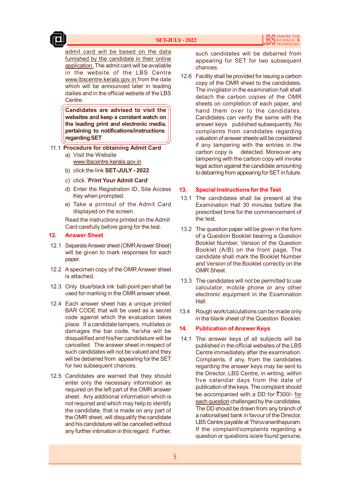admit card will be based on the data furnished by the candidate in their online application. The admit card will be available in the website of the LBS Centre www.lbscentre.kerala.gov.in from the date which will be announced later in leading dailies and in the official website of the LBS Centre.

**Candidates are advised to visit the websites and keep a constant watch on the leading print and electronic media, pertaining to notifications/instructions regarding SET**

- 11.1 **Procedure for obtaining Admit Card**
	- a) Visit the Website www.lbscentre.kerala.gov.in
	- b) click the link **SET-JULY 2022**
	- c) click `**Print Your Admit Card**'
	- d) Enter the Registration ID, Site Access Key when prompted.
	- e) Take a printout of the Admit Card displayed on the screen.

Read the instructions printed on the Admit Card carefully before going for the test.

#### **12. Answer Sheet**

- 12.1 Separate Answer sheet (OMR Answer Sheet) will be given to mark responses for each paper.
- 12.2 A specimen copy of the OMR Answer sheet is attached.
- 12.3 Only blue/black ink ball-point pen shall be used for marking in the OMR answer sheet.
- 12.4 Each answer sheet has a unique printed BAR CODE that will be used as a secret code against which the evaluation takes place. If a candidate tampers, mutilates or damages the bar code, he/she will be disqualified and his/her candidature will be cancelled. The answer sheet in respect of such candidates will not be valued and they will be debarred from appearing for the SET for two subsequent chances.
- 12.5 Candidates are warned that they should enter only the necessary information as required on the left part of the OMR answer sheet. Any additional information which is not required and which may help to identify the candidate, that is made on any part of the OMR sheet, will disqualify the candidate and his candidature will be cancelled without any further intimation in this regard. Further,

such candidates will be debarred from appearing for SET for two subsequent chances.

 12.6 Facility shall be provided for issuing a carbon copy of the OMR sheet to the candidates. The invigilator in the examination hall shall detach the carbon copies of the OMR sheets on completion of each paper, and hand them over to the candidates. Candidates can verify the same with the answer keys published subsequently. No complaints from candidates regarding valuation of answer sheets will be considered if any tampering with the entries in the carbon copy is detected. Moreover any tampering with the carbon copy will invoke legal action against the candidate amounting to debarring from appearing for SET in future.

#### **13. Special Instructions for the Test**

- 13.1 The candidates shall be present at the Examination Hall 30 minutes before the prescribed time for the commencement of the test.
- 13.2 The question paper will be given in the form of a Question Booklet bearing a Question Booklet Number, Version of the Question Booklet (A/B) on the front page. The candidate shall mark the Booklet Number and Version of the Booklet correctly on the OMR Sheet.
- 13.3 The candidates will not be permitted to use calculator, mobile phone or any other electronic equipment in the Examination Hall.
- 13.4 Rough work/calculations can be made only in the blank sheet of the Question Booklet.

#### **14. Publication of Answer Keys**

 14.1 The answer keys of all subjects will be published in the official websites of the LBS Centre immediately after the examination. Complaints, if any, from the candidates regarding the answer keys may be sent to the Director, LBS Centre, in writing, within five calendar days from the date of publication of the keys. The complaint should be accompanied with a DD for  $\overline{\mathfrak{r}}$ 300/- for each question challenged by the candidates. The DD should be drawn from any branch of a nationalised bank in favour of the Director, LBS Centre payable at Thiruvananthapuram. If the complaint/complaints regarding a question or questions is/are found genuine,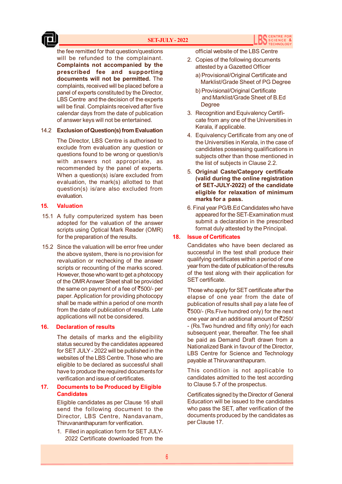

the fee remitted for that question/questions will be refunded to the complainant. **Complaints not accompanied by the prescribed fee and supporting documents will not be permitted.** The complaints, received will be placed before a panel of experts constituted by the Director, LBS Centre and the decision of the experts will be final. Complaints received after five calendar days from the date of publication of answer keys will not be entertained.

#### 14.2 **Exclusion of Question(s) from Evaluation**

The Director, LBS Centre is authorised to exclude from evaluation any question or questions found to be wrong or question/s with answers not appropriate, as recommended by the panel of experts. When a question(s) is/are excluded from evaluation, the mark(s) allotted to that question(s) is/are also excluded from evaluation.

#### **15. Valuation**

- 15.1 A fully computerized system has been adopted for the valuation of the answer scripts using Optical Mark Reader (OMR) for the preparation of the results.
- 15.2 Since the valuation will be error free under the above system, there is no provision for revaluation or rechecking of the answer scripts or recounting of the marks scored. However, those who want to get a photocopy of the OMR Answer Sheet shall be provided the same on payment of a fee of  $\overline{\xi}500/$ - per paper. Application for providing photocopy shall be made within a period of one month from the date of publication of results. Late applications will not be considered.

#### **16. Declaration of results**

The details of marks and the eligibility status secured by the candidates appeared for SET JULY - 2022 will be published in the websites of the LBS Centre. Those who are eligible to be declared as successful shall have to produce the required documents for verification and issue of certificates.

#### **17. Documents to be Produced by Eligible Candidates**

Eligible candidates as per Clause 16 shall send the following document to the Director, LBS Centre, Nandavanam, Thiruvananthapuram for verification.

1. Filled in application form for SET JULY-2022 Certificate downloaded from the official website of the LBS Centre

- 2. Copies of the following documents attested by a Gazetted Officer
	- a) Provisional/Original Certificate and Marklist/Grade Sheet of PG Degree
	- b) Provisional/Original Certificate and Marklist/Grade Sheet of B.Ed **Degree**
- 3. Recognition and Equivalency Certificate from any one of the Universities in Kerala, if applicable.
- 4. Equivalency Certificate from any one of the Universities in Kerala, in the case of candidates possessing qualifications in subjects other than those mentioned in the list of subjects in Clause 2.2.
- 5. **Original Caste/Category certificate (valid during the online registration of SET-JULY-2022) of the candidate eligible for relaxation of minimum marks for a pass.**
- 6. Final year PG/B.Ed Candidates who have appeared for the SET-Examination must submit a declaration in the prescribed format duly attested by the Principal.

#### **18. Issue of Certificates**

Candidates who have been declared as successful in the test shall produce their qualifying certificates within a period of one year from the date of publication of the results of the test along with their application for SET certificate.

Those who apply for SET certificate after the elapse of one year from the date of publication of results shall pay a late fee of `500/- (Rs.Five hundred only) for the next one year and an additional amount of  $\overline{\text{5}}250/$ - (Rs.Two hundred and fifty only) for each subsequent year, thereafter. The fee shall be paid as Demand Draft drawn from a Nationalized Bank in favour of the Director, LBS Centre for Science and Technology payable at Thiruvananthapuram.

This condition is not applicable to candidates admitted to the test according to Clause 5.7 of the prospectus.

Certificates signed by the Director of General Education will be issued to the candidates who pass the SET, after verification of the documents produced by the candidates as per Clause 17.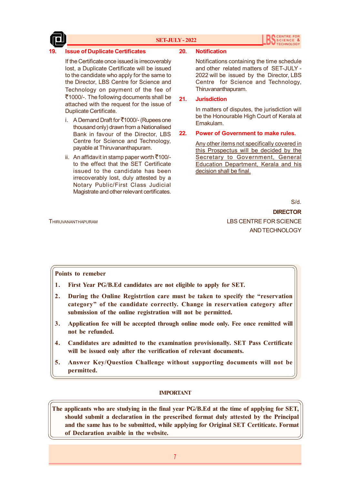

#### **SET-JULY - 2022**

#### **19. Issue of Duplicate Certificates**

If the Certificate once issued is irrecoverably lost, a Duplicate Certificate will be issued to the candidate who apply for the same to the Director, LBS Centre for Science and Technology on payment of the fee of `1000/-. The following documents shall be attached with the request for the issue of Duplicate Certificate.

- i. A Demand Draft for  $\overline{\mathfrak{C}}$ 1000/- (Rupees one thousand only) drawn from a Nationalised Bank in favour of the Director, LBS Centre for Science and Technology, payable at Thiruvananthapuram.
- ii. An affidavit in stamp paper worth  $\overline{\xi}$ 100/to the effect that the SET Certificate issued to the candidate has been irrecoverably lost, duly attested by a Notary Public/First Class Judicial Magistrate and other relevant certificates.

#### **20. Notification**

Notifications containing the time schedule and other related matters of SET-JULY - 2022 will be issued by the Director, LBS Centre for Science and Technology, Thiruvananthapuram.

#### **21. Jurisdiction**

In matters of disputes, the jurisdiction will be the Honourable High Court of Kerala at Ernakulam.

#### **22. Power of Government to make rules.**

Any other items not specifically covered in this Prospectus will be decided by the Secretary to Government, General Education Department, Kerala and his decision shall be final.

S/d.

**DIRECTOR** THIRUVANANTHAPURAM LBS CENTRE FOR SCIENCE AND TECHNOLOGY

#### **Points to remeber**

- **1. First Year PG/B.Ed candidates are not eligible to apply for SET.**
- **2. During the Online Registrtion care must be taken to specify the "reservation category" of the candidate correctly. Change in reservation category after submission of the online registration will not be permitted.**
- **3. Application fee will be accepted through online mode only. Fee once remitted will not be refunded.**
- **4. Candidates are admitted to the examination provisionally. SET Pass Certificate will be issued only after the verification of relevant documents.**
- **5. Answer Key/Question Challenge without supporting documents will not be permitted.**

## **IMPORTANT**

**The applicants who are studying in the final year PG/B.Ed at the time of applying for SET, should submit a declaration in the prescribed format duly attested by the Principal and the same has to be submitted, while applying for Original SET Certiticate. Format of Declaration avaible in the website.**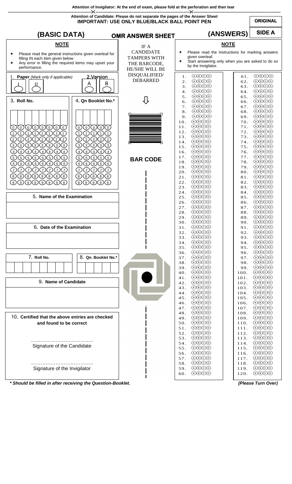**Attention of Invigilator: At the end of exam, please fold at the perforation and then tear** 



*\* Should be filled in after receiving the Question-Booklet. (Please Turn Over)*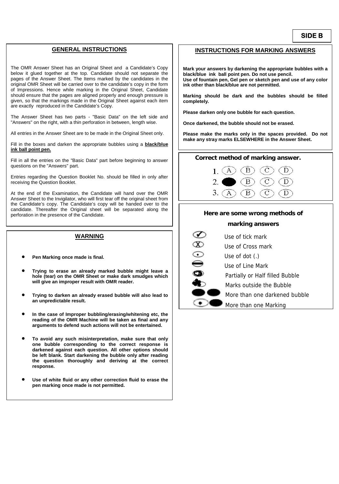#### **GENERAL INSTRUCTIONS**

The OMR Answer Sheet has an Original Sheet and a Candidate's Copy below it glued together at the top. Candidate should not separate the pages of the Answer Sheet. The Items marked by the candidates in the original OMR Sheet will be carried over to the candidate's copy in the form of Impressions. Hence while marking in the Original Sheet, Candidate should ensure that the pages are aligned properly and enough pressure is given, so that the markings made in the Original Sheet against each item are exactly reproduced in the Candidate's Copy.

The Answer Sheet has two parts - "Basic Data" on the left side and "Answers" on the right, with a thin perforation in between, length wise.

All entries in the Answer Sheet are to be made in the Original Sheet only.

Fill in the boxes and darken the appropriate bubbles using a **black/blue ink ball point pen.**

Fill in all the entries on the "Basic Data" part before beginning to answer questions on the "Answers" part.

Entries regarding the Question Booklet No. should be filled in only after receiving the Question Booklet.

At the end of the Examination, the Candidate will hand over the OMR Answer Sheet to the Invigilator, who will first tear off the original sheet from the Candidate's copy. The Candidate's copy will be handed over to the candidate. Thereafter the Original sheet will be separated along the perforation in the presence of the Candidate.

#### **WARNING**

- **Pen Marking once made is final.**
- **Trying to erase an already marked bubble might leave a hole (tear) on the OMR Sheet or make dark smudges which will give an improper result with OMR reader.**
- **Trying to darken an already erased bubble will also lead to an unpredictable result.**
- **In the case of Improper bubbling/erasing/whitening etc, the reading of the OMR Machine will be taken as final and any arguments to defend such actions will not be entertained.**
- **To avoid any such misinterpretation, make sure that only one bubble corresponding to the correct response is darkened against each question. All other options should be left blank. Start darkening the bubble only after reading the question thoroughly and deriving at the correct response.**
- **Use of white fluid or any other correction fluid to erase the pen marking once made is not permitted.**

#### **INSTRUCTIONS FOR MARKING ANSWERS**

**Mark your answers by darkening the appropriate bubbles with a black/blue ink ball point pen. Do not use pencil. Use of fountain pen, Gel pen or sketch pen and use of any color ink other than black/blue are not permitted.** 

**Marking should be dark and the bubbles should be filled completely.** 

**Please darken only one bubble for each question.** 

**Once darkened, the bubble should not be erased.** 

**Please make the marks only in the spaces provided. Do not make any stray marks ELSEWHERE in the Answer Sheet.** 

#### **Correct method of marking answer.**



## **Here are some wrong methods of**

#### **marking answers**

| Use of tick mark                |
|---------------------------------|
| Use of Cross mark               |
| Use of dot $(.)$                |
| Use of Line Mark                |
| Partially or Half filled Bubble |
| Marks outside the Bubble        |
| More than one darkened bubble   |
| More than one Marking           |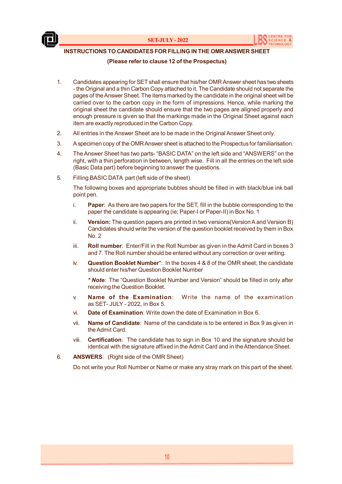



## **INSTRUCTIONS TO CANDIDATES FOR FILLING IN THE OMR ANSWER SHEET**

#### **(Please refer to clause 12 of the Prospectus)**

- 1. Candidates appearing for SET shall ensure that his/her OMR Answer sheet has two sheets - the Original and a thin Carbon Copy attached to it. The Candidate should not separate the pages of the Answer Sheet. The items marked by the candidate in the original sheet will be carried over to the carbon copy in the form of impressions. Hence, while marking the original sheet the candidate should ensure that the two pages are aligned properly and enough pressure is given so that the markings made in the Original Sheet against each item are exactly reproduced in the Carbon Copy.
- 2. All entries in the Answer Sheet are to be made in the Original Answer Sheet only.
- 3. A specimen copy of the OMR Answer sheet is attached to the Prospectus for familiarisation.
- 4. The Answer Sheet has two parts- "BASIC DATA" on the left side and "ANSWERS" on the right, with a thin perforation in between, length wise. Fill in all the entries on the left side (Basic Data part) before beginning to answer the questions.
- 5. Filling BASIC DATA part (left side of the sheet).

The following boxes and appropriate bubbles should be filled in with black/blue ink ball point pen.

- i. **Paper**: As there are two papers for the SET, fill in the bubble corresponding to the paper the candidate is appearing (ie; Paper-I or Paper-II) in Box No. 1
- ii. **Version:** The question papers are printed in two versions(Version A and Version B) Candidates should write the version of the question booklet received by them in Box No. 2
- iii. **Roll number**: Enter/Fill in the Roll Number as given in the Admit Card in boxes 3 and 7. The Roll number should be entered without any correction or over writing.
- iv. **Question Booklet Number**\*: In the boxes 4 & 8 of the OMR sheet, the candidate should enter his/her Question Booklet Number

*\* Note:* The "Question Booklet Number and Version" should be filled in only after receiving the Question Booklet.

- v. **Name of the Examination**: Write the name of the examination as SET- JULY - 2022, in Box 5.
- vi. **Date of Examination**: Write down the date of Examination in Box 6.
- vii. **Name of Candidate**: Name of the candidate is to be entered in Box 9 as given in the Admit Card.
- viii. **Certification**:The candidate has to sign in Box 10 and the signature should be identical with the signature affixed in the Admit Card and in the Attendance Sheet.
- 6. **ANSWERS**: (Right side of the OMR Sheet)

Do not write your Roll Number or Name or make any stray mark on this part of the sheet.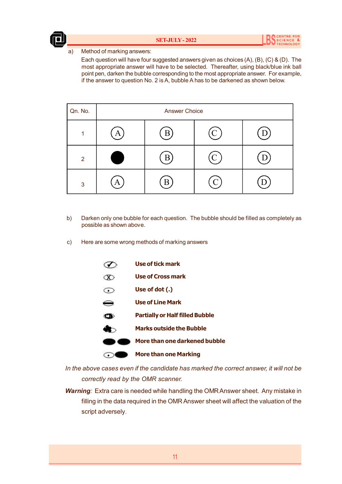

a) Method of marking answers:

Each question will have four suggested answers given as choices (A), (B), (C) & (D). The most appropriate answer will have to be selected. Thereafter, using black/blue ink ball point pen, darken the bubble corresponding to the most appropriate answer. For example, if the answer to question No. 2 is A, bubble A has to be darkened as shown below.

| Qn. No. | <b>Answer Choice</b> |   |  |  |
|---------|----------------------|---|--|--|
| 4       |                      | B |  |  |
| 2       |                      |   |  |  |
| 3       | P                    |   |  |  |

- b) Darken only one bubble for each question. The bubble should be filled as completely as possible as shown above.
- c) Here are some wrong methods of marking answers

|    | Use of tick mark                       |
|----|----------------------------------------|
|    | <b>Use of Cross mark</b>               |
|    | Use of dot (.)                         |
| ∊  | <b>Use of Line Mark</b>                |
| CD | <b>Partially or Half filled Bubble</b> |
|    | <b>Marks outside the Bubble</b>        |
|    | More than one darkened bubble          |
|    | <b>More than one Marking</b>           |

*In the above cases even if the candidate has marked the correct answer, it will not be correctly read by the OMR scanner.*

*Warning:* Extra care is needed while handling the OMR Answer sheet. Any mistake in filling in the data required in the OMR Answer sheet will affect the valuation of the script adversely.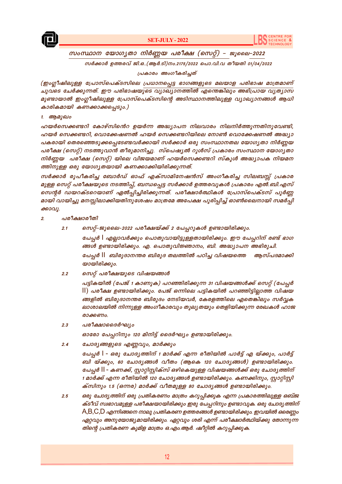



## സംസ്ഥാന യോഗൃതാ നിർണ്ണയ പരീക്ഷ (സെറ്റ്) – ജൂലൈ–2022

സർക്കാർ ഉത്തരവ് ജി.ഒ..(ആർ.ടി)നം.2175/2022 പൊ.വി.വ തീയതി 01/04/2022

പ്രകാരം അംഗീകരിച്ചത്

(ഇംഗ്ലീഷിലുള്ള പ്രോസ്പെക്ടസിലെ പ്രധാനപ്പെട്ട ഭാഗങ്ങളുടെ മലയാള പരിഭാഷ മാത്രമാണ് ചുവടെ ചേർക്കുന്നത്. ഈ പരിഭാഷയുടെ വ്യാഖ്യാനത്തിൽ എന്തെങ്കിലും അഭിപ്രായ വ്യത്യാസ മുണ്ടായാൽ ഇംഗ്ലീഷിലുള്ള പ്രോസ്പെക്ടസിന്റെ അടിസ്ഥാനത്തിലുള്ള വ്യാഖ്യാനങ്ങൾ ആധി കാരികമായി കണക്കാക്കപ്പെടും.)

#### 1. ആമുഖം

ഹയർസെക്കണ്ടറി കോഴ്സിന്റെ ഉയർന്ന അദ്ധ്യാപന നിലവാരം നിലനിർത്തുന്നതിനുവേണ്ടി, ഹയർ സെക്കണ്ടറി, വൊക്കേഷണൽ ഹയർ സെക്കണ്ടറിയിലെ നോൺ വൊക്കേഷണൽ അദ്ധ്യാ പകരായി തെരഞ്ഞെടുക്കപ്പെടേണ്ടവർക്കായി സർക്കാർ ഒരു സംസ്ഥാനതല യോഗൃതാ നിർണ്ണയ പരീക്ഷ (സെറ്റ്) നടത്തുവാൻ തീരുമാനിച്ചു. സ്പെഷ്യൽ റൂൾസ് പ്രകാരം സംസ്ഥാന യോഗൃതാ നിർണ്ണയ പരീക്ഷ (സെറ്റ്) യിലെ വിജയമാണ് ഹയർസെക്കണ്ടറി സ്കൂൾ അദ്ധ്യാപക നിയമന ത്തിനുള്ള ഒരു യോഗ്യതയായി കണക്കാക്കിയിരിക്കുന്നത്.

സർക്കാർ രൂപീകരിച്ച ബോർഡ് ഓഫ് എക്സാമിനേഷൻസ് അംഗീകരിച്ച സിലബസ്സ് പ്രകാര മുള്ള സെറ്റ് പരീക്ഷയുടെ നടത്തിപ്പ്, ബന്ധപ്പെട്ട സർക്കാർ ഉത്തരവുകൾ പ്രകാരം എൽ.ബി.എസ് സെന്റർ ഡയറക്ടറെയാണ് ഏൽപ്പിച്ചിരിക്കുന്നത്. പരീക്ഷാർത്ഥികൾ പ്രോസ്പെക്ടസ് പൂർണ്ണ മായി വായിച്ചു മനസ്സിലാക്കിയതിനുശേഷം മാത്രമേ അപേക്ഷ പൂരിപ്പിച്ച് ഓൺലൈനായി സമർപ്പി ക്കാവു.

- പരീക്ഷാരീതി  $\overline{2}$ 
	- സെറ്റ്-ജൂലൈ-2022 പരീക്ഷയ്ക്ക് 2 പേപ്പറുകൾ ഉണ്ടായിരിക്കും.  $2.1$

പേപ്പർ | എല്ലാവർക്കും പൊതുവായിട്ടുള്ളതായിരിക്കും. ഈ പേപ്പറിന് രണ്ട് ഭാഗ ങ്ങൾ ഉണ്ടായിരിക്കും. എ. പൊതുവിജ്ഞാനം, ബി. അദ്ധ്യാപന അഭിരുചി. പേപ്പർ || ബിരുദാനന്തര ബിരുദ തലത്തിൽ പഠിച്ച വിഷയത്തെ അസ്പദമാക്കി യായിരിക്കും.

സെറ്റ് പരീക്ഷയുടെ വിഷയങ്ങൾ  $2.2$ 

> പട്ടികയിൽ (പേജ് 1 കാണുക) പറഞ്ഞിരിക്കുന്ന 31 വിഷയങ്ങൾക്ക് സെറ്റ് (പേപ്പർ ||) പരീക്ഷ ഉണ്ടായിരിക്കും. പേജ് ഒന്നിലെ പട്ടികയിൽ പറഞ്ഞിട്ടില്ലാത്ത വിഷയ ങ്ങളിൽ ബിരുദാനന്തര ബിരുദം നേടിയവർ, കേരളത്തിലെ എതെങ്കിലും സർവ്വക ലാശാലയിൽ നിന്നുള്ള അംഗീകാരവും തുല്യതയും തെളിയിക്കുന്ന രേഖകൾ ഹാജ രാക്കണം.

പരീക്ഷാദൈർഘ്യം  $2.3$ 

ഓരോ പേപ്പറിനും 120 മിനിട്ട് ദൈർഘ്യം ഉണ്ടായിരിക്കും.

 $2.4$ ചോദ്യങ്ങളുടെ എണ്ണവും, മാർക്കും

> പേപ്പർ I - ഒരു ചോദൃത്തിന് 1 മാർക്ക് എന്ന രീതിയിൽ പാർട്ട് എ യ്ക്കും, പാർട്ട് ബി യ്ക്കും, 60 ചോദൃങ്ങൾ വീതം (ആകെ 120 ചോദൃങ്ങൾ) ഉണ്ടായിരിക്കും. പേപ്പർ II - കണക്ക്, സ്റ്റാറ്റിസ്റ്റിക്സ് ഒഴികെയുള്ള വിഷയങ്ങൾക്ക് ഒരു ചോദൃത്തിന് 1 മാർക്ക് എന്ന രീതിയിൽ 120 ചോദ്യങ്ങൾ ഉണ്ടായിരിക്കും. കണക്കിനും, സ്റ്റാറ്റിസ്റ്റി ക്സിനും 1.5 (ഒന്നര) മാർക്ക് വീതമുള്ള 80 ചോദ്യങ്ങൾ ഉണ്ടായിരിക്കും.

ഒരു ചോദ്യത്തിന് ഒരു പ്രതികരണം മാത്രം കറുപ്പിക്കുക എന്ന പ്രകാരത്തിലുള്ള ഒബ്ജ  $2.5$ ക്ടീവ് സ്വഭാവമുള്ള പരീക്ഷയായിരിക്കും ഇരു പേപ്പറിനും ഉണ്ടാവുക. ഒരു ചോദ്യത്തിന്  $\mathsf{A},\mathsf{B},\mathsf{C},\mathsf{D}$  എന്നിങ്ങനെ നാലു പ്രതികരണ ഉത്തരങ്ങൾ ഉണ്ടായിരിക്കും. ഇവയിൽ ഒരെണ്ണം ഏറ്റവും അനുയോജ്യമായിരിക്കും. ഏറ്റവും ശരി എന്ന് പരീക്ഷാർത്ഥിയ്ക്കു തോന്നുന്ന തിന്റെ പ്രതികരണ കുമിള മാത്രം ഒ.എം.ആർ. ഷീറ്റിൽ കറുപ്പിക്കുക.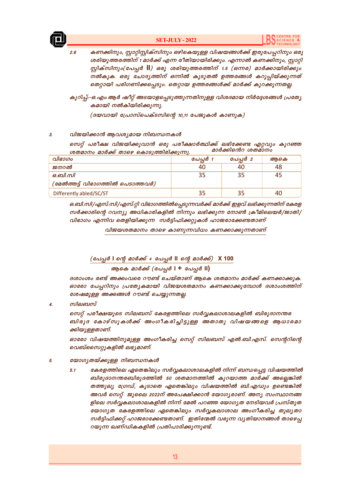

 $2.6$ 

#### **SET-JULY-2022**

കണക്കിനും, സ്റ്റാറ്റിസ്റ്റിക്സിനും ഒഴികെയുള്ള വിഷയങ്ങൾക്ക് ഇരുപേപ്പറിനും ഒരു ശരിയുത്തരത്തിന് 1 മാർക്ക് എന്ന രീതിയായിരിക്കും. എന്നാൽ കണക്കിനും, സ്ലാറ്റി സ്റ്റിക്സിനും(പേപ്പർ II) ഒരു ശരിയുത്തരത്തിന് 1.5 (ഒന്നര) മാർക്കായിരിക്കും നൽകുക. ഒരു ചോദൃത്തിന് ഒന്നിൽ കൂടുതൽ ഉത്തരങ്ങൾ കറുപ്പിയ്ക്കുന്നത് തെറ്റായി പരിഗണിക്കപ്പെടും. തെറ്റായ ഉത്തരങ്ങൾക്ക് മാർക്ക് കുറക്കുന്നതല്ല.

കുറിപ്പ്:-ഒ.എം.ആർ ഷീറ്റ് അടയാളപ്പെടുത്തുന്നതിനുള്ള വിശദമായ നിർദ്ദേശങ്ങൾ പ്രത്യേ കമായി നൽകിയിരിക്കുന്നു.

(ദയവായി പ്രോസ്പെക്ടസിന്റെ 10,11 പേജുകൾ കാണുക)

#### $\overline{z}$ വിജയിക്കാൻ ആവശ്യമായ നിബന്ധനകൾ

സെറ്റ് പരീക്ഷ വിജയിക്കുവാൻ ഒരു പരീക്ഷാർത്ഥിക്ക് ലഭിക്കേണ്ട എറ്റവും കുറഞ്ഞ മാർക്കിന്റെ ശതമ്ാനം ശതമാനം മാർക്ക് താഴെ കൊടുത്തിരിക്കുന്നു.

| വിഭാഗം                            | പേപ്പർ 1 | പേപ്പർ 2 | ആകെ |
|-----------------------------------|----------|----------|-----|
| ജനറൽ                              | 40       | 40       | 48  |
| ഒ.ബി.സി                           |          | 35       | 45  |
| (മേൽത്തട്ട് വിഭാഗത്തിൽ പെടാത്തവർ) |          |          |     |
| Differently abled/SC/ST           |          | 35       | 40  |

ഒ.ബി.സി/എസ്.സി/എസ്.റ്റി വിഭാഗത്തിൽപ്പെടുന്നവർക്ക് മാർക്ക് ഇളവ് ലഭിക്കുന്നതിന് കേരള സർക്കാരിന്റെ റവന്യൂ അധികാരികളിൽ നിന്നും ലഭിക്കുന്ന നോൺ ക്രീമിലെയർ/ജാതി/ വിഭാഗം എന്നിവ തെളിയിക്കുന്ന സർട്ടിഫിക്കറ്റുകൾ ഹാജരാക്കേണ്ടതാണ്

വിജയശതമാനം താഴെ കാണുന്നവിധം കണക്കാക്കുന്നതാണ്

(പേപ്പർ I ന്റെ മാർക്ക് + പേപ്പർ II ന്റെ മാർക്ക്) X 100

## ആകെ മാർക്ക് (പേപ്പർ I + പേപ്പർ II)

ദശാംശം രണ്ട് അക്കംവരെ റൗണ്ട് ചെയ്താണ് ആകെ ശതമാനം മാർക്ക് കണക്കാക്കുക. ഓരോ പേപ്പറിനും പ്രത്യേകമായി വിജയശതമാനം കണക്കാക്കുമ്പോൾ ദശാംശത്തിന് ശേഷമുള്ള അക്കങ്ങൾ റൗണ്ട് ചെയ്യുന്നതല്ല.

സിലബസ്  $\overline{4}$ .

> സെറ്റ് പരീക്ഷയുടെ സിലബസ് കേരളത്തിലെ സർവ്വകലാശാലകളിൽ ബിരുദാനന്തര ബിരുദ കോഴ്സുകൾക്ക് അംഗീകരിച്ചിട്ടുള്ള അതാതു വിഷയങ്ങളെ ആധാരമാ ക്കിയുള്ളതാണ്.

> ഓരോ വിഷയത്തിനുമുള്ള അംഗീകരിച്ച സെറ്റ് സിലബസ് എൽ.ബി.എസ്. സെന്ററിന്റെ വെബ്സൈറ്റുകളിൽ ലഭ്യമാണ്.

#### യോഗൃതയ്ക്കുള്ള നിബന്ധനകൾ 5.

കേരളത്തിലെ ഏതെങ്കിലും സർവ്വകലാശാലകളിൽ നിന്ന് ബന്ധപ്പെട്ട വിഷയത്തിൽ 51 ബിരുദാനന്തരബിരുദത്തിൽ 50 ശതമാനത്തിൽ കുറയാത്ത മാർക്ക് അല്ലെങ്കിൽ തത്തുല്യ ഗ്രേഡ്, കൂടാതെ ഏതെങ്കിലും വിഷയത്തിൽ ബി.എഡും ഉണ്ടെങ്കിൽ അവർ സെറ്റ് ജൂലൈ 2022ന് അപേക്ഷിക്കാൻ യോഗ്യരാണ്. അന്യ സംസ്ഥാനങ്ങ ളിലെ സർവ്വകലാശാലകളിൽ നിന്ന് മേൽ പറഞ്ഞ യോഗൃത നേടിയവർ പ്രസ്തുത യോഗൃത കേരളത്തിലെ ഏതെങ്കിലും സർവ്വകലാശാല അംഗീകരിച്ച തുലൃതാ സർട്ടിഫിക്കറ്റ് ഹാജരാക്കേണ്ടതാണ്. ഇതിന്മേൽ വരുന്ന വ്യതിയാനങ്ങൾ താഴെപ്പ റയുന്ന ഖണ്ഡികകളിൽ പ്രതിപാദിക്കുന്നുണ്ട്.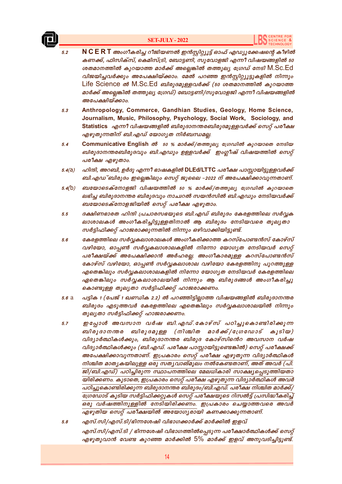

#### **SET-JULY-2022**

- N C E R T അംഗീകരിച്ച റീജിയണൽ ഇൻസ്റ്റിറ്റ്യൂട്ട് ഓഫ് എഡ്യൂക്കേഷന്റെ കീഴിൽ  $5.2$ കണക്ക്, ഫിസിക്സ്, കെമിസ്ട്രി, ബോട്ടണി, സുവോളജി എന്നീ വിഷയങ്ങളിൽ 50 ശതമാനത്തിൽ കുറയാത്ത മാർക്ക് അല്ലെങ്കിൽ തത്തുല്യ ഗ്രേഡ് നേടി M.Sc.Ed വിജയിച്ചവർക്കും അപേക്ഷിയ്ക്കാം. മേൽ പറഞ്ഞ ഇൻസ്റ്റിറ്റ്യൂട്ടുകളിൽ നിന്നും Life Science ൽ M.Sc.Ed ബിരുദമുള്ളവർക്ക് (50 ശതമാനത്തിൽ കുറയാത്ത മാർക്ക് അല്ലെങ്കിൽ തത്തുല്യ ഗ്രേഡ്) ബോട്ടണി/സുവോളജി എന്നീ വിഷയങ്ങളിൽ അപേക്ഷിയ്ക്കാം.
- Anthropology, Commerce, Gandhian Studies, Geology, Home Science,  $5.3$ Journalism, Music, Philosophy, Psychology, Social Work, Sociology, and Statistics എന്നീ വിഷയങ്ങളിൽ ബിരുദാനന്തരബിരുദമുള്ളവർക്ക് സെറ്റ് പരീക്ഷ എഴുതുന്നതിന് ബി.എഡ് യോഗൃത നിർബന്ധമല്ല.
- Communicative English ൽ 50 % മാർക്ക്/തത്തുല്യ ഗ്രേഡിൽ കുറയാതെ നേടിയ  $5.4$ ബിരുദാനന്തരബിരുദവും ബി.എഡും ഉള്ളവർക്ക് ഇംഗ്ലീഷ് വിഷയത്തിൽ സെറ്റ് പരീക്ഷ എഴുതാം.
- ഹിന്ദി, അറബി, ഉർദു എന്നീ ഭാഷകളിൽ DLEd/LTTC പരീക്ഷ പാസ്സായിട്ടുള്ളവർക്ക്  $5.4(d)$ ബി.എഡ് ബിരുദം ഇല്ലെങ്കിലും സെറ്റ് ജൂലൈ -2022 ന് അപേക്ഷിക്കാവുന്നതാണ്.
- ബയോടെക്നോളജി വിഷയത്തിൽ 50 % മാർക്ക്/തത്തുല്യ ഗ്രേഡിൽ കുറയാതെ  $5.4(b)$ ലഭിച്ച ബിരുദാനന്തര ബിരുദവും നാച്ചറൽ സയൻസിൽ ബി.എഡും നേടിയവർക്ക് ബയോടെക്നോളജിയിൽ സെറ്റ് പരീക്ഷ എഴുതാം.
- ദക്ഷിണഭാരത ഹിന്ദി പ്രചാരസഭയുടെ ബി.എഡ് ബിരുദം കേരളത്തിലെ സർവക  $5.5$ ലാശാലകൾ അംഗീകരിച്ചിട്ടുള്ളതിനാൽ ആ ബിരുദം നേടിയവരെ തുല്യതാ സർട്ടിഫിക്കറ്റ് ഹാജരാക്കുന്നതിൽ നിന്നും ഒഴിവാക്കിയിട്ടുണ്ട്.
- കേരളത്തിലെ സർവ്വകലാശാലകൾ അംഗീകരിക്കാത്ത കറസ്പോണ്ടൻസ് കോഴ്സ്  $5.6$ വഴിയോ, ഓപ്പൺ സർവ്വകലാശാലകളിൽ നിന്നോ യോഗ്യത നേടിയവർ സെറ്റ് പരീക്ഷയ്ക്ക് അപേക്ഷിക്കാൻ അർഹരല്ല. അംഗീകാരമുള്ള കറസ്പോണ്ടൻസ് കോഴ്സ് വഴിയോ, ഓപ്പൺ സർവ്വകലാശാല വഴിയോ കേരളത്തിനു പുറത്തുള്ള എതെങ്കിലും സർവ്വകലാശാലകളിൽ നിന്നോ യോഗൃത നേടിയവർ കേരളത്തിലെ ഏതെങ്കിലും സർവ്വകലാശാലയിൽ നിന്നും ആ ബിരുദങ്ങൾ അംഗീകരിച്ചു കൊണ്ടുള്ള തുലൃതാ സർട്ടിഫിക്കറ്റ് ഹാജരാക്കണം.
- പട്ടിക 1 (പേജ് 1 ഖണ്ഡിക 2.2) ൽ പറഞ്ഞിട്ടില്ലാത്ത വിഷയങ്ങളിൽ ബിരുദാനന്തര  $5.6a$ ബിരുദം എടുത്തവർ കേരളത്തിലെ എതെങ്കിലും സർവ്വകലാശാലയിൽ നിന്നും തുല്യതാ സർട്ടിഫിക്കറ്റ് ഹാജരാക്കണം.
- ഇപ്പോൾ അവസാന വർഷ ബി.എഡ്.കോഴ്സ് പഠിച്ചുകൊണ്ടിരിക്കുന്ന  $5.7$ ബിരുദാനന്തര ബിരുദമുള്ള (നിശ്ചിത മാർക്ക്/ധ്രേഡോട് കൂടിയ) വിദ്യാർത്ഥികൾക്കും, ബിരുദാനന്തര ബിരുദ കോഴ്സിൻെറ അവസാന വർഷ വിദ്യാർത്ഥികൾക്കും (ബി.എഡ്. പരീക്ഷ പാസ്റ്റായിട്ടുണ്ടെങ്കിൽ) സെറ്റ് പരീക്ഷക്ക് അപേക്ഷിക്കാവുന്നതാണ്. ഇപ്രകാരം സെറ്റ് പരീക്ഷ എഴുതുന്ന വിദ്യാർത്ഥികൾ നിശ്ചിത മാതൃകയിലുള്ള ഒരു സതൃവാങ്മുലം നൽകേണ്ടതാണ്, അത് അവർ (പി. ജി/ബി.എഡ്) പഠിച്ചിരുന്ന സ്ഥാപനത്തിലെ മേലധികാരി സാക്ഷ്യപ്പെടുത്തിയതാ യിരിക്കണം. കൂടാതെ, ഇപ്രകാരം സെറ്റ് പരീക്ഷ എഴുതുന്ന വിദ്യാർത്ഥികൾ അവർ പഠിച്ചുകൊണ്ടിരിക്കുന്ന ബിരുദാനന്തര ബിരുദം/ബി.എഡ്. പരീക്ഷ നിശ്ചിത മാർക്ക്/ ഗ്രേഡോട് കൂടിയ സർട്ടിഫിക്കറ്റുകൾ സെറ്റ് പരീക്ഷയുടെ റിസൽട്ട് പ്രസിദ്ധീകരിച്ച് ഒരു വർഷത്തിനുള്ളിൽ നേടിയിരിക്കണം. ഇപ്രകാരം ചെയ്യാത്തവരെ അവർ എഴുതിയ സെറ്റ് പരീക്ഷയിൽ അയോഗൃരായി കണക്കാക്കുന്നതാണ്.
- $5.8$ എസ്.സി/എസ്.ടി/ഭിന്നശേഷി വിഭാഗക്കാർക്ക് മാർക്കിൽ ഇളവ് എസ്.സി/എസ്.ടി / ഭിന്നശേഷി വിഭാഗത്തിൽപ്പെടുന്ന പരീക്ഷാർത്ഥികൾക്ക് സെറ്റ് എഴുതുവാൻ വേണ്ട കുറഞ്ഞ മാർക്കിൽ 5% മാർക്ക് ഇളവ് അനുവദിച്ചിട്ടുണ്ട്.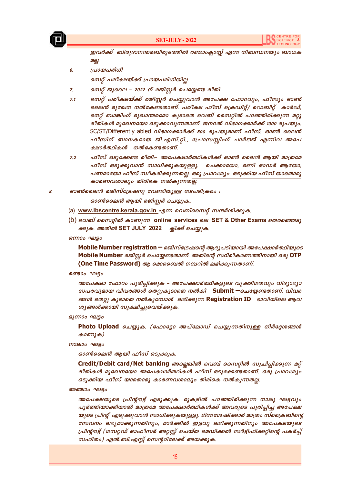

ഇവർക്ക് ബിരുദാനന്തരബിരുദത്തിൽ രണ്ടാംക്ലാസ്റ്റ് എന്ന നിബന്ധനയും ബാധക oel.

പ്രായപരിധി 6.

സെറ്റ് പരീക്ഷയ്ക്ക് പ്രായപരിധിയില്ല

- സെറ്റ് ജൂലൈ 2022 ന് രജിസ്റ്റർ ചെയ്യേണ്ട രീതി  $Z_{\rm c}$
- സെറ്റ് പരീക്ഷയ്ക്ക് രജിസ്റ്റർ ചെയ്യുവാൻ അപേക്ഷ ഫോറവും, ഫീസും ഓൺ  $7.1$ ലൈൻ മുഖേന നൽകേണ്ടതാണ്. പരീക്ഷ ഫീസ് ക്രെഡിറ്റ്/ ഡെബിറ്റ് കാർഡ്, നെറ്റ് ബാങ്കിംഗ് മുഖാന്തരമോ കൂടാതെ വെബ് സൈറ്റിൽ പറഞ്ഞിരിക്കുന്ന മറ്റു രീതികൾ മുഖേനയോ ഒടുക്കാവുന്നതാണ്. ജനറൽ വിഭാഗക്കാർക്ക് 1000 രൂപയും. SC/ST/Differently abled *വിഭാഗക്കാർക്ക് 500 രൂപയുമാണ് ഫീസ്. ഓൺ ലൈൻ* ഫീസിന് ബാധകമായ ജി.എസ്.റ്റി., പ്രോസസ്സിംഗ് ചാർജ്ജ് എന്നിവ അപേ ക്ഷാർത്ഥികൾ നൽകേണ്ടതാണ്.
- ഫീസ് ഒടുക്കേണ്ട രീതി:- അപേക്ഷാർത്ഥികൾക്ക് ഓൺ ലൈൻ ആയി മാത്രമേ  $7.2$ ഫീസ് ഒടുക്കുവാൻ സാധിക്കുകയുള്ളൂ. ചെക്കായോ, മണി ഓഡർ ആയോ, പണമായോ ഫീസ് സ്വീകരിക്കുന്നതല്ല. ഒരു പ്രാവശ്യം ഒടുക്കിയ ഫീസ് യാതൊരു കാരണവശാലും തിരികെ നൽകുന്നതല്ല.
- ഓൺലൈൻ രജിസ്ട്രേഷനു വേണ്ടിയുള്ള നടപടിക്രമം : 8.

ഓൺലൈൻ ആയി രജിസ്റ്റർ ചെയ്യുക.

- (a) www.lbscentre.kerala.gov.in എന്ന വെബ്സൈറ്റ് സന്ദർശിക്കുക.
- (b) വെബ് സൈറ്റിൽ കാണുന്ന online services ലെ SET & Other Exams തെരഞ്ഞെടു ക്കുക. അതിൽ SET JULY 2022 ക്ലിക്ക് ചെയ്യുക.

ഒന്നാം ഘട്ടം

Mobile Number registration - രജിസ്ട്രേഷന്റെ ആദ്യപടിയായി അപേക്ഷാർത്ഥിയുടെ Mobile Number രജിസ്റ്റർ ചെയ്യേണ്ടതാണ്. അതിന്റെ സ്ഥിരീകരണത്തിനായി ഒരു OTP (One Time Password) ആ മൊബൈൽ നമ്പറിൽ ലഭിക്കുന്നതാണ്.

രണ്ടാം ഘട്ടം

അപേക്ഷാ ഫോറം പൂരിപ്പിക്കുക – അപേക്ഷാർത്ഥികളുടെ വ്യക്തിഗതവും വിദ്യാഭ്യാ സപരവുമായ വിവരങ്ങൾ തെറ്റുകൂടാതെ നൽകി Submit —ചെയ്യേണ്ടതാണ്. വിവര ങ്ങൾ തെറ്റു കൂടാതെ നൽകുമ്പോൾ ലഭിക്കുന്ന Registration ID ഭാവിയിലെ ആവ ശ്യങ്ങൾക്കായി സൂക്ഷിച്ചുവെയ്ക്കുക.

#### മൂന്നാം ഘട്ടം

Photo Upload ചെയ്യുക. (ഫോട്ടോ അപ്ലോഡ് ചെയ്യുന്നതിനുള്ള നിർദ്ദേശങ്ങൾ കാണുക)

നാലാം ഘട്ടം

ഓൺലൈൻ ആയി ഫീസ് ഒടുക്കുക.

Credit/Debit card/Net banking അല്ലെങ്കിൽ വെബ് സൈറ്റിൽ സൂചിപ്പിക്കുന്ന മറ്റ് രീതികൾ മുഖേനയോ അപേക്ഷാർത്ഥികൾ ഫീസ് ഒടുക്കേണ്ടതാണ്. ഒരു പ്രാവശ്യം ഒടുക്കിയ ഫീസ് യാതൊരു കാരണവശാലും തിരികെ നൽകുന്നതല്ല.

#### അഞ്ചാം ഘട്ടം

അപേക്ഷയുടെ പ്രിന്റൗട്ട് എടുക്കുക. മുകളിൽ പറഞ്ഞിരിക്കുന്ന നാലു ഘട്ടവും പൂർത്തിയാക്കിയാൽ മാത്രമേ അപേക്ഷാർത്ഥികൾക്ക് അവരുടെ പൂരിപ്പിച്ച അപേക്ഷ യുടെ പ്രിന്റ് എടുക്കുവാൻ സാധിക്കുകയുള്ളൂ. ഭിന്നശേഷിക്കാർ മാത്രം സ്ക്രൈബിന്റെ സേവനം ലഭ്യമാക്കുന്നതിനും, മാർക്കിൽ ഇളവു ലഭിക്കുന്നതിനും അപേക്ഷയുടെ പ്രിന്റൗട്ട് (ഗസറ്റഡ് ഓഫീസർ അറ്റസ്റ്റ് ചെയ്ത മെഡിക്കൽ സർട്ടിഫിക്കറ്റിന്റെ പകർപ്പ് സഹിതം) എൽ.ബി.എസ്സ് സെന്ററിലേക്ക് അയക്കുക.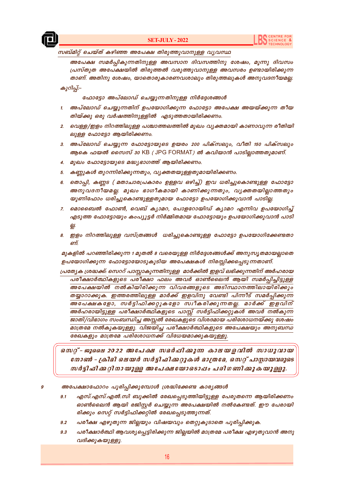

#### സബ്മിറ്റ് ചെയ്ത് കഴിഞ്ഞ അപേക്ഷ തിരുത്തുവാനുള്ള വൃവസ്ഥ

അപേക്ഷ സമർപ്പികുന്നതിനുള്ള അവസാന ദിവസത്തിനു ശേഷം, മൂന്നു ദിവസം പ്രസ്തുത അപേക്ഷയിൽ തിരുത്തൽ വരുത്തുവാനുള്ള അവസരം ഉണ്ടായിരിക്കുന്ന താണ്. അതിനു ശേഷം, യാതൊരുകാരണവശാലും തിരുത്തലുകൾ അനുവദനീയമല്ല. കുറിപ്പ്:–

#### ഫോട്ടോ അപ്ലോഡ് ചെയ്യുന്നതിനുള്ള നിർദ്ദേശങ്ങൾ

- 1. അപ്ലോഡ് ചെയ്യുന്നതിന് ഉപയോഗിക്കുന്ന ഫോട്ടോ അപേക്ഷ അയയ്ക്കുന്ന തീയ തിയ്ക്കു ഒരു വർഷത്തിനുള്ളിൽ എടുത്തതായിരിക്കണം.
- 2. വെള്ള/ഇളം നിറത്തിലുള്ള പശ്ചാത്തലത്തിൽ മുഖം വൃക്തമായി കാണാവുന്ന രീതിയി ലുള്ള ഫോട്ടോ ആയിരിക്കണം.
- 3. അപ്ലോഡ് ചെയ്യുന്ന ഫോട്ടോയുടെ ഉയരം 200 പിക്സലും, വീതി 150 പിക്സലും ആകെ ഫയൽ സൈസ് 30 KB ( JPG FORMAT) ൽ കവിയാൻ പാടില്ലാത്തതുമാണ്.
- 4. മുഖം ഫോട്ടോയുടെ മദ്ധ്യഭാഗത്ത് ആയിരിക്കണം.
- 5. കണ്ണുകൾ തുറന്നിരിക്കുന്നതും, വൃക്തതയുള്ളതുമായിരിക്കണം.
- 6. തൊപ്പി, കണ്ണട (മതാചാരപ്രകാരം ഉള്ളവ ഒഴിച്ച്) ഇവ ധരിച്ചുകൊണ്ടുള്ള ഫോട്ടോ അനുവദനീയമല്ല. മുഖം ഭാഗീകമായി കാണിക്കുന്നതും, വൃക്തതയില്ലാത്തതും യൂണിഫോം ധരിച്ചുകൊണ്ടുള്ളതുമായ ഫോട്ടോ ഉപയോഗിക്കുവാൻ പാടില്ല.
- 7. മൊബൈൽ ഫോൺ, വെബ് ക്യാമറ, പോളറോയിഡ് ക്യാമറ എന്നിവ ഉപയോഗിച്ച് എടുത്ത ഫോട്ടോയും കംപ്യൂട്ടർ നിർമ്മിതമായ ഫോട്ടോയും ഉപയോഗിക്കുവാൻ പാടി 읪.
- 8. ഇളം നിറത്തിലുള്ള വസ്ത്രങ്ങൾ ധരിച്ചുകൊണ്ടുള്ള ഫോട്ടോ ഉപയോഗിക്കേണ്ടതാ ണ്.

മുകളിൽ പറഞ്ഞിരിക്കുന്ന 1 മുതൽ 8 വരെയുള്ള നിർദ്ദേശങ്ങൾക്ക് അനുസൃതമായല്ലാതെ ഉപയോഗിക്കുന്ന ഫോട്ടോയോടുകൂടിയ അപേക്ഷകൾ നിരസ്സിക്കപ്പെടുന്നതാണ്.

പ്രത്യേക ശ്രദ്ധക്ക്: സെററ് പാസ്സാകുന്നതിനുള്ള മാർക്കിൽ ഇളവ് ലഭിക്കുന്നതിന് അർഹരായ പരീക്ഷാർത്ഥികളുടെ പരീക്ഷാ ഫലം അവർ ഓൺലൈൻ ആയി സമർപ്പിച്ചിട്ടുള്ള അപേക്ഷയിൽ നൽകിയിരിക്കുന്ന വിവരങ്ങളുടെ അടിസ്ഥാനത്തിലായിരിക്കും തയ്യാറാക്കുക. ഇത്തരത്തിലുള്ള മാർക്ക് ഇളവിനു വേണ്ടി പിന്നീട് സമർപ്പിക്കുന്ന .<br>അപേക്ഷകളോ, സർട്ടിഫിക്കറ്റുകളോ സ്വീകരിക്കുന്നതല്ല. മാർക്ക് ഇളവിന് അർഹരായിട്ടുള്ള പരീക്ഷാർത്ഥികളുടെ പാസ്സ് സർട്ടിഫിക്കറ്റുകൾ അവർ നൽകുന്ന ജാതി/വിഭാഗം സംബന്ധിച്ച അസ്സൽ രേഖകളുടെ വിശദമായ പരിശോധനയ്ക്കു ശേഷം മാത്രമേ നൽകുകയുള്ളു. വിജയിച്ച പരീക്ഷാർത്ഥികളുടെ അപേക്ഷയും അനുബന്ധ .<br>രേഖകളും മാത്രമേ പരിശോധനക്ക് വിധേയമാക്കുകയുള്ളു.

സെറ്റ്-ജൂലൈ 2022 അപേക്ഷ സമർപ്പിക്കുന്ന കാലയളവിൽ സാധുവായ നോൺ - ക്രിമി ലെയർ സർട്ടിഫിക്കറ്റുകൾ മാത്രമേ, സെറ്റ് പാസ്സായവരുടെ സർട്ടിഫിക്കറ്റിനായുള്ള അപേക്ഷയോടൊപ്പം പരിഗണിക്കുകയുള്ളു.

അപേക്ഷാഫോറം പൂരിപ്പിക്കുമ്പോൾ ശ്രദ്ധിക്കേണ്ട കാര്യങ്ങൾ g

- എസ്.എസ്.എൽ.സി ബുക്കിൽ രേഖപ്പെടുത്തിയിട്ടുള്ള പേരുതന്നെ ആയിരിക്കണം  $9.1$ ഓൺലൈൻ ആയി രജിസ്റ്റർ ചെയ്യുന്ന അപേക്ഷയിൽ നൽകേണ്ടത്. ഈ പേരായി രിക്കും സെറ്റ് സർട്ടിഫിക്കറ്റിൽ രേഖപ്പെടുത്തുന്നത്.
- പരീക്ഷ എഴുതുന്ന ജില്ലയും വിഷയവും തെറ്റുകൂടാതെ പൂരിപ്പിക്കുക.  $9.2$
- പരീക്ഷാർത്ഥി ആവശ്യപ്പെട്ടിരിക്കുന്ന ജില്ലയിൽ മാത്രമേ പരീക്ഷ എഴുതുവാൻ അനു  $9.3$ വദിക്കുകയുള്ളൂ.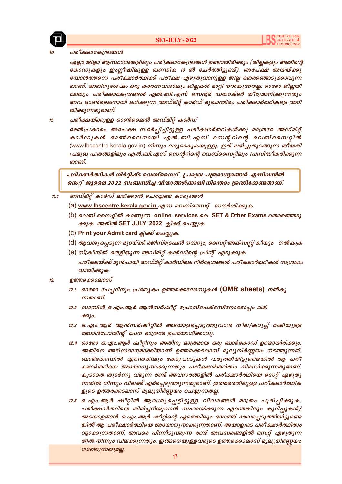

#### പരീക്ഷാകേന്ദ്രങ്ങൾ

എല്ലാ ജില്ലാ ആസ്ഥാനങ്ങളിലും പരീക്ഷാകേന്ദ്രങ്ങൾ ഉണ്ടായിരിക്കും (ജില്ലകളും അതിന്റെ കോഡുകളും ഇംഗ്ലീഷിലുള്ള ഖണ്ഡിക 10 ൽ ചേർത്തിട്ടുണ്ട്). അപേക്ഷ അയയ്ക്കു ബോൾത്തന്നെ പരീക്ഷാർത്ഥിക്ക് പരീക്ഷ എഴുതുവാനുള്ള ജില്ല തെരഞ്ഞെടുക്കാവുന്ന താണ്. അതിനുശേഷം ഒരു കാരണവശാലും ജില്ലകൾ മാറ്റി നൽകുന്നതല്ല. ഓരോ ജില്ലയി ലേയും പരീക്ഷാകേന്ദ്രങ്ങൾ എൽ.ബി.എസ് സെന്റർ ഡയറക്ടർ തീരുമാനിക്കുന്നതും അവ ഓൺലൈനായി ലഭിക്കുന്ന അഡ്മിറ്റ് കാർഡ് മുഖാന്തിരം പരീക്ഷാർത്ഥികളെ അറി യിക്കുന്നതുമാണ്.

പരീക്ഷയ്ക്കുള്ള ഓൺലൈൻ അഡ്മിറ്റ് കാർഡ്  $11.$ 

> മേൽപ്രകാരം അപേക്ഷ സമർപ്പിച്ചിട്ടുള്ള പരീക്ഷാർത്ഥികൾക്കു മാത്രമേ അഡ്മിറ്റ് കാർഡുകൾ ഓൺലൈനായി എൽ.ബി.എസ് സെന്ററിന്റെ വെബ്സൈറ്റിൽ (www.lbscentre.kerala.gov.in) നിന്നും ലഭ്യമാകുകയുള്ളു. ഇത് ലഭിച്ചുതുടങ്ങുന്ന തീയതി പ്രമുഖ പത്രങ്ങളിലും എൽ.ബി.എസ് സെന്ററിന്റെ വെബ്സൈറ്റിലും പ്രസിദ്ധീകരിക്കുന്ന லை வை

പരിക്ഷാർത്ഥികൾ നിർദ്ദിഷ്ട വെബ്സൈറ്റ്, പ്രമുഖ പത്രമാധ്യമങ്ങൾ എന്നിവയിൽ സെറ്റ് ജൂലൈ 2022 സംബന്ധിച്ച വിവരങ്ങൾക്കായി നിരന്തരം ശ്രദ്ധിക്കേണ്ടതാണ്.

#### അഡ്മിറ്റ് കാർഡ് ലഭിക്കാൻ ചെയ്യേണ്ട കാര്യങ്ങൾ  $11.1$

- (a) www.lbscentre.kerala.gov.in എന്ന വെബ്സൈറ്റ് സന്ദർശിക്കുക.
- (b) വെബ് സൈറ്റിൽ കാണുന്ന online services ലെ SET & Other Exams തെരഞ്ഞെടു ക്കുക. അതിൽ SET JULY 2022 ക്ലിക്ക് ചെയ്യുക.
- (C) Print your Admit card ஓிக் வெழுக.
- (d) ആവശ്യപ്പെടുന്ന മുറയ്ക്ക് രജിസ്ട്രേഷൻ നമ്പറും, സൈറ്റ് അക്സസ്സ് കീയും നൽകുക
- (e) സ്ക്രീനിൽ തെളിയുന്ന അഡ്മിറ്റ് കാർഡിന്റെ പ്രിന്റ് എടുക്കുക പരീക്ഷയ്ക്ക് മുൻപായി അഡ്മിറ്റ് കാർഡിലെ നിർദ്ദേശങ്ങൾ പരീക്ഷാർത്ഥികൾ സശ്രദ്ധം വായിക്കുക.

#### ഉത്തരക്കടലാസ്  $12.$

- 12.1 ഓരോ പേപ്പറിനും പ്രത്യേകം ഉത്തരക്കടലാസുകൾ (OMR sheets) നൽകു ന്നതാണ്
- 12.2 സാമ്പിൾ ഒ.എം.ആർ ആൻസർഷീറ്റ് പ്രോസ്പെക്ടസിനോടൊപ്പം ലഭി  $\partial \Theta$ ) $\phi$ .
- 12.3 ഒ.എം.ആർ ആൻസർഷീറ്റിൽ അടയാളപ്പെടുത്തുവാൻ നീല/കറുപ്പ് മഷിയുള്ള ബോൾപോയിന്റ് പേന മാത്രമേ ഉപയോഗിക്കാവൂ.
- 12.4 ഓരോ ഒ.എം.ആർ ഷീറ്റിനും അതിനു മാത്രമായ ഒരു ബാർകോഡ് ഉണ്ടായിരിക്കും. അതിനെ അടിസ്ഥാനമാക്കിയാണ് ഉത്തരക്കടലാസ് മൂല്യനിർണ്ണയം നടത്തുന്നത്. ബാർകോഡിൽ എന്തെങ്കിലും കേടുപാടുകൾ വരുത്തിയിട്ടുണ്ടെങ്കിൽ ആ പരീ ക്ഷാർത്ഥിയെ അയോഗൃനാക്കുന്നതും പരീക്ഷാർത്ഥിത്വം നിരസിക്കുന്നതുമാണ്. കുടാതെ തുടർന്നു വരുന്ന രണ്ട് അവസരങ്ങളിൽ പരീക്ഷാർത്ഥിയെ സെറ്റ് എഴുതു ന്നതിൽ നിന്നും വിലക്ക് ഏർപ്പെടുത്തുന്നതുമാണ്. ഇത്തരത്തിലുള്ള പരീക്ഷാർത്ഥിക ളുടെ ഉത്തരക്കടലാസ് മൂല്യനിർണ്ണയം ചെയ്യുന്നതല്ല.
- 12.5 ഒ.എം.ആർ ഷീറ്റിൽ ആവശ്യപ്പെട്ടിട്ടുള്ള വിവരങ്ങൾ മാത്രം പൂരിപ്പിക്കുക. പരീക്ഷാർത്ഥിയെ തിരിച്ചറിയുവാൻ സഹായിക്കുന്ന എന്തെങ്കിലും കുറിപ്പുകൾ/ അടയാളങ്ങൾ ഒ.എം.ആർ ഷീറ്റിന്റെ ഏതെങ്കിലും ഭാഗത്ത് രേഖപ്പെടുത്തിയിട്ടുണ്ടെ ങ്കിൽ ആ പരീക്ഷാർത്ഥിയെ അയോഗ്യനാക്കുന്നതാണ്. അയാളുടെ പരീക്ഷാർത്ഥിത്വം റദ്ദാക്കുന്നതാണ്. അവരെ പിന്നീടുവരുന്ന രണ്ട് അവസരങ്ങളിൽ സെറ്റ് എഴുതുന്ന തിൽ നിന്നും വിലക്കുന്നതും, ഇങ്ങനെയുള്ളവരുടെ ഉത്തരക്കടലാസ് മൂല്യനിർണ്ണയം നടത്തുന്നതുമല്ല.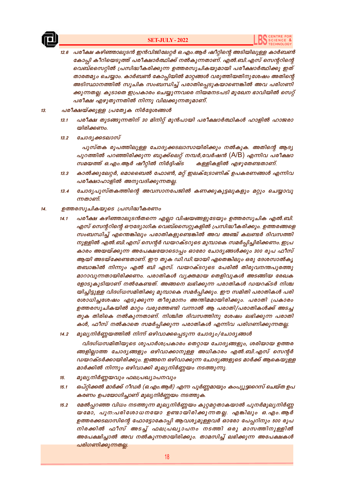

#### **SET-JULY - 2022**

- പരീക്ഷ കഴിഞ്ഞാലുടൻ ഇൻവിജിലേറ്റർ ഒ.എം.ആർ ഷീറ്റിന്റെ അടിയിലുള്ള കാർബൺ  $12.6$ കോപി കീറിയെടുത്ത് പരീക്ഷാർത്ഥിക്ക് നൽകുന്നതാണ്. എൽ.ബി.എസ് സെൻറിൻെ വെബ്സൈറ്റിൽ പ്രസിദ്ധീകരിക്കുന്ന ഉത്തരസൂചികയുമായി പരീക്ഷാർത്ഥിക്കു ഇത് താരതമ്യം ചെയ്യാം. കാർബൺ കോപ്പിയിൽ മാറ്റങ്ങൾ വരുത്തിയതിനുശേഷം അതിന്റെ അടിസ്ഥാനത്തിൽ സൂചിക സംബന്ധിച്ച് പരാതിപ്പെടുകയാണെങ്കിൽ അവ പരിഗണി ക്കുന്നതല്ല. കൂടാതെ ഇപ്രകാരം ചെയ്യുന്നവരെ നിയമനടപടി മുഖേന ഭാവിയിൽ സെറ്റ് പരീക്ഷ എഴുതുന്നതിൽ നിന്നു വിലക്കുന്നതുമാണ്.
- പരീക്ഷയ്ക്കുള്ള പ്രത്യേക നിർദ്ദേശങ്ങൾ  $13.$ 
	- പരീക്ഷ തുടങ്ങുന്നതിന് 30 മിനിറ്റ് മുൻപായി പരീക്ഷാർത്ഥികൾ ഹാളിൽ ഹാജരാ  $13.1$ യിരിക്കണം.
	- ചോദൃക്കടലാസ്  $13.2$

പുസ്തക രൂപത്തിലുള്ള ചോദൃക്കടലാസായിരിക്കും നൽകുക. അതിന്റെ ആദൃ പുറത്തിൽ പറഞ്ഞിരിക്കുന്ന ബുക്ക്ലെറ്റ് നമ്പർ,വേർഷൻ (A/B) എന്നിവ പരീക്ഷാ സമയത്ത് ഒ.എം.ആർ ഷീറ്റിൽ നിർദ്ദിഷ്ട കള്ളികളിൽ എഴുതേണ്ടതാണ്.

- കാൽക്കുലേറ്റർ, മൊബൈൽ ഫോൺ, മറ്റ് ഇലക്ട്രോണിക് ഉപകരണങ്ങൾ എന്നിവ  $13.3$ പരീക്ഷാഹാളിൽ അനുവദിക്കുന്നതല്ല.
- $13A$ ചോദ്യപുസ്തകത്തിന്റെ അവസാനപേജിൽ കണക്കുകൂട്ടലുകളും മറ്റും ചെയ്യാവു ന്നതാണ്.
- ഉത്തരസൂചികയുടെ പ്രസിദ്ധീകരണം  $14.$ 
	- പരീക്ഷ കഴിഞ്ഞാലുടൻതന്നെ എല്ലാ വിഷയങ്ങളുടേയും ഉത്തരസൂചിക എൽ.ബി.  $14.1$ എസ് സെന്ററിന്റെ ഔദ്യോഗിക വെബ്സൈറ്റുകളിൽ പ്രസിദ്ധീകരിക്കും. ഉത്തരങ്ങളെ സംബന്ധിച്ച് എന്തെങ്കിലും പരാതികളുണ്ടെങ്കിൽ അവ അഞ്ച് കലണ്ടർ ദിവസത്തി നുള്ളിൽ എൽ.ബി.എസ് സെന്റർ ഡയറക്ടറുടെ മുമ്പാകെ സമർപ്പിച്ചിരിക്കണം. ഇപ്ര കാരം അയയ്ക്കുന്ന അപേക്ഷയോടൊപ്പം ഓരോ ചോദ്യങ്ങൾക്കും 300 രൂപ ഫീസ് ആയി അടയ്ക്കേണ്ടതാണ്. ഈ തുക ഡി.ഡി.യായി ഏതെങ്കിലും ഒരു ദേശസാൽകൃ തബാങ്കിൽ നിന്നും എൽ ബി എസ്. ഡയറക്ടറുടെ പേരിൽ തിരുവനന്തപുരത്തു മാറാവുന്നതായിരിക്കണം. പരാതികൾ വൃക്തമായ തെളിവുകൾ അടങ്ങിയ രേഖക ളോടുകുടിയാണ് നൽകേണ്ടത്. അങ്ങനെ ലഭിക്കുന്ന പരാതികൾ ഡയറക്ടർ നിശ്ച യിച്ചിട്ടുള്ള വിദഗ്ധസമിതിക്കു മുമ്പാകെ സമർപ്പിക്കും. ഈ സമിതി പരാതികൾ പരി ശോധിച്ചശേഷം എടുക്കുന്ന തീരുമാനം അന്തിമമായിരിക്കും. പരാതി പ്രകാരം ഉത്തരസൂചികയിൽ മാറ്റം വരുത്തേണ്ടി വന്നാൽ ആ പരാതി/പരാതികൾക്ക് അടച്ച തുക തിരികെ നൽകുന്നതാണ്. നിശ്ചിത ദിവസത്തിനു ശേഷം ലഭിക്കുന്ന പരാതി കൾ, ഫീസ് നൽകാതെ സമർപ്പിക്കുന്ന പരാതികൾ എന്നിവ പരിഗണിക്കുന്നതല്ല.
	- മൂല്യനിർണ്ണയത്തിൽ നിന്ന് ഒഴിവാക്കപ്പെടുന്ന ചോദ്യം/ചോദ്യങ്ങൾ  $14.2$

വിദഗ്ധസമിതിയുടെ ശുപാർശപ്രകാരം തെറ്റായ ചോദ്യങ്ങളും, ശരിയായ ഉത്തര ങ്ങളില്ലാത്ത ചോദ്യങ്ങളും ഒഴിവാക്കാനുള്ള അധികാരം എൽ.ബി.എസ് സെന്റർ ഡയറക്ടർക്കായിരിക്കും. ഇങ്ങനെ ഒഴിവാക്കുന്ന ചോദൃങ്ങളുടെ മാർക്ക് ആകെയുള്ള മാർക്കിൽ നിന്നും ഒഴിവാക്കി മൂല്യനിർണ്ണയം നടത്തുന്നു.

- മൂല്യനിർണ്ണയവും ഫലപ്രഖ്യാപനവും 15.
- ഒപ്റ്റിക്കൽ മാർക്ക് റീഡർ (ഒ.എം.ആർ) എന്ന പൂർണ്ണമായും കംപ്യൂട്ടറൈസ് ചെയ്ത ഉപ  $15.1$ കരണം ഉപയോഗിച്ചാണ് മൂല്യനിർണ്ണയം നടത്തുക.
- മേൽപ്പറഞ്ഞ വിധം നടത്തുന്ന മൂല്യനിർണ്ണയം കുറ്റമറ്റതാകയാൽ പുനർമൂല്യനിർണ്ണ  $15.2$ യമോ, പൂന:പരിശോധനയോ ഉണ്ടായിരിക്കുന്നതല്ല. എങ്കിലും ഒ.എം.ആർ ഉത്തരക്കടലാസിന്റെ ഫോട്ടോകോപ്പി ആവശ്യമുള്ളവർ ഓരോ പേപ്പറിനും 500 രൂപ നിരക്കിൽ ഫീസ് അടച്ച് ഫലപ്രഖ്യാപനം നടത്തി ഒരു മാസത്തിനുള്ളിൽ അപേക്ഷിച്ചാൽ അവ നൽകുന്നതായിരിക്കും. താമസിച്ച് ലഭിക്കുന്ന അപേക്ഷകൾ പരിഗണിക്കുന്നതല്ല.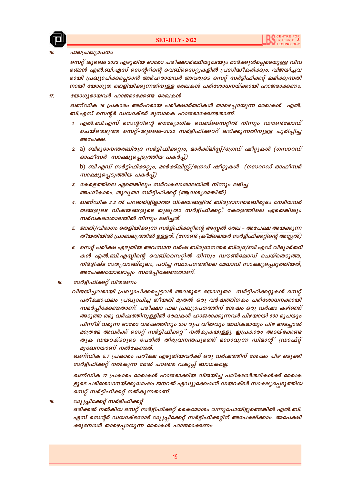

#### ഫലപ്രഖ്യാപനം

സെറ്റ് ജൂലൈ 2022 എഴുതിയ ഓരോ പരീക്ഷാർത്ഥിയുടേയും മാർക്കുൾപ്പെടെയുള്ള വിവ രങ്ങൾ എൽ.ബി.എസ് സെന്ററിന്റെ വെബ്സൈറ്റുകളിൽ പ്രസിദ്ധീകരിക്കും. വിജയിച്ചവ രായി പ്രഖ്യാപിക്കപ്പെടാൻ അർഹരായവർ അവരുടെ സെറ്റ് സർട്ടിഫിക്കറ്റ് ലഭിക്കുന്നതി നായി യോഗൃത തെളിയിക്കുന്നതിനുള്ള രേഖകൾ പരിശോധനയ്ക്കായി ഹാജരാക്കണം.

#### യോഗ്യരായവർ ഹാജരാക്കേണ്ട രേഖകൾ  $17.$

ഖണ്ഡിക 16 പ്രകാരം അർഹരായ പരീക്ഷാർത്ഥികൾ താഴെപ്പറയുന്ന രേഖകൾ എൽ. ബി.എസ് സെന്റർ ഡയറക്ടർ മുമ്പാകെ ഹാജരാക്കേണ്ടതാണ്.

- 1. എൽ.ബി.എസ് സെൻറിന്റെ ഔദ്യോഗിക വെബ്സൈറ്റിൽ നിന്നും ഡൗൺലോഡ് ചെയ്തെടുത്ത സെറ്റ്-ജൂലൈ-2022 സർട്ടിഫിക്കററ് ലഭിക്കുന്നതിനുള്ള പൂരിപ്പിച്ച അപേക്ഷ.
- 2. a) ബിരുദാനന്തരബിരുദ സർട്ടിഫിക്കറ്റും, മാർക്ക്ലിസ്റ്റ്/ശ്രേഡ് ഷീറ്റുകൾ (ഗസററഡ് ഓഫീസർ സാക്ഷ്യപ്പെടുത്തിയ പകർപ്പ്)

b) ബി.എഡ് സർട്ടിഫിക്കറ്റും, മാർക്ക്ലിസ്റ്റ്/ഗ്രേഡ് ഷീറ്റുകൾ (ഗസററഡ് ഓഫീസർ സാക്ഷ്യപ്പെടുത്തിയ പകർപ്പ്)

- 3. കേരളത്തിലെ ഏതെങ്കിലും സർവകലാശാലയിൽ നിന്നും ലഭിച്ച അംഗീകാരം, തുലൃതാ സർട്ടിഫിക്കറ്റ് (ആവശ്യമെങ്കിൽ)
- 4. ഖണ്ഡിക 2.2 ൽ പറഞ്ഞിട്ടില്ലാത്ത വിഷയങ്ങളിൽ ബിരുദാനന്തരബിരുദം നേടിയവർ തങ്ങളുടെ വിഷയങ്ങളുടെ തുലൃതാ സർട്ടിഫിക്കറ്റ്, കേരളത്തിലെ ഏതെങ്കിലും സർവകലാശാലയിൽ നിന്നും ലഭിച്ചത്.
- 5. ജാതി/വിഭാഗം തെളിയിക്കുന്ന സർട്ടിഫിക്കറ്റിന്റെ അസ്സൽ രേഖ അപേക്ഷ അയക്കുന്ന തീയതിയിൽ പ്രാബല്യത്തിൽ ഉള്ളത്. (നോൺ ക്രീമിലെയർ സർട്ടിഫിക്കറ്റിന്റെ അസ്സൽ)
- 6. സെറ്റ് പരീക്ഷ എഴുതിയ അവസാന വർഷ ബിരുദാനന്തര ബിരുദ/ബി.എഡ് വിദ്യാർത്ഥി കൾ എൽ.ബി.എസ്സിന്റെ വെബ്സൈറ്റിൽ നിന്നും ഡൗൺലോഡ് ചെയ്തെടുത്ത, നിർദ്ദിഷ്ട സതൃവാങ്ങ്മൂലം, പഠിച്ച സ്ഥാപനത്തിലെ മേധാവി സാക്ഷ്യപ്പെടുത്തിയത്, അപേക്ഷയോടൊപ്പം സമർപ്പിക്കേണ്ടതാണ്.
- സർട്ടിഫിക്കറ്റ് വിതരണം  $18$ 
	- വിജയിച്ചവരായി പ്രഖ്യാപിക്കപ്പെട്ടവർ അവരുടെ യോഗൃതാ സർട്ടിഫിക്കറ്റുകൾ സെറ്റ് പരീക്ഷാഫലം പ്രഖ്യാപിച്ച തീയതി മുതൽ ഒരു വർഷത്തിനകം പരിശോധനക്കായി സമർപ്പിക്കേണ്ടതാണ്. പരീക്ഷാ ഫല പ്രഖ്യാപനത്തിന് ശേഷം ഒരു വർഷം കഴിഞ്ഞ് അടുത്ത ഒരു വർഷത്തിനുള്ളിൽ രേഖകൾ ഹാജരാക്കുന്നവർ പിഴയായി 500 രൂപയും പിന്നീട് വരുന്ന ഓരോ വർഷത്തിനും 250 രുപ വീതവും അധികമായും പിഴ അടച്ചാൽ മാത്രമേ അവർക്ക് സെറ്റ് സർട്ടിഫിക്കറ്റ് നൽകുകയുള്ളു. ഇപ്രകാരം അടയ്ക്കേണ്ട തുക ഡയറക്ടറുടെ പേരിൽ തിരുവനന്തപുരത്ത് മാറാവുന്ന ഡിമാന്റ് ഡ്രാഫ്റ്റ് മുഖേനയാണ് നൽകേണ്ടത്.

ഖണ്ഡിക 5.7 പ്രകാരം പരീക്ഷ എഴുതിയവർക്ക് ഒരു വർഷത്തിന് ശേഷം പിഴ ഒടുക്കി സർട്ടിഫിക്കറ്റ് നൽകുന്ന മേൽ പറഞ്ഞ വകുപ്പ് ബാധകമല്ല.

ഖണ്ഡിക 17 പ്രകാരം രേഖകൾ ഹാജരാക്കിയ വിജയിച്ച പരീക്ഷാർത്ഥികൾക്ക് രേഖക ളുടെ പരിശോധനയ്ക്കുശേഷം ജനറൽ എഡ്യൂക്കേഷൻ ഡയറക്ടർ സാക്ഷ്യപ്പെടുത്തിയ സെറ്റ് സർട്ടിഫിക്കറ്റ് നൽകുന്നതാണ്.

ഡ്യൂപ്പിക്കേറ്റ് സർട്ടിഫിക്കറ്റ്  $19$ 

> ഒരിക്കൽ നൽകിയ സെറ്റ് സർട്ടിഫിക്കറ്റ് കൈമോശം വന്നുപോയിട്ടുണ്ടെങ്കിൽ എൽ.ബി. എസ് സെന്റർ ഡയറക്ടറോട് ഡ്യൂപ്ലിക്കേറ്റ് സർട്ടിഫിക്കറ്റിന് അപേക്ഷിക്കാം. അപേക്ഷി ക്കുമ്പോൾ താഴെപ്പറയുന്ന രേഖകൾ ഹാജരാക്കണം.